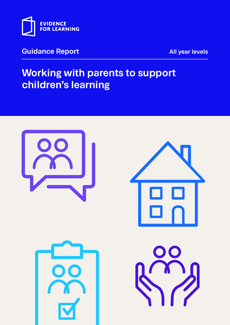

## **Guidance Report All year levels**

# **Working with parents to support children's learning**

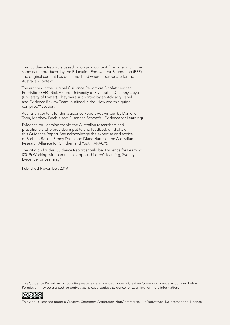This Guidance Report is based on original content from a report of the same name produced by the Education Endowment Foundation (EEF). The original content has been modified where appropriate for the Australian context.

The authors of the original Guidance Report are Dr Matthew can Poortvliet (EEF), Nick Axford (University of Plymouth), Dr Jenny Lloyd (University of Exeter). They were supported by an Advisory Panel and Evidence Review Team, outlined in the ['How was this guide](#page-29-0)  [compiled?](#page-29-0)' section.

Australian content for this Guidance Report was written by Danielle Toon, Matthew Deeble and Susannah Schoeffel (Evidence for Learning).

Evidence for Learning thanks the Australian researchers and practitioners who provided input to and feedback on drafts of this Guidance Report. We acknowledge the expertise and advice of Barbara Barker, Penny Dakin and Diana Harris of the Australian Research Alliance for Children and Youth (ARACY).

The citation for this Guidance Report should be 'Evidence for Learning (2019) Working with parents to support children's learning, Sydney: Evidence for Learning.'

Published November, 2019

This Guidance Report and supporting materials are licenced under a Creative Commons licence as outlined below. Permission may be granted for derivatives, please [contact Evidence for Learning](mailto:info%40evidenceforlearning.org.au?subject=) for more information.



This work is licensed under a Creative Commons Attribution‑NonCommercial‑NoDerivatives 4.0 International Licence.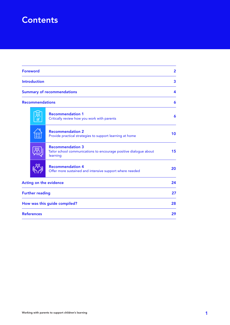# **Contents**

| <b>Foreword</b>                                                                    |    | $\overline{2}$<br>3<br>4                                                                                 |    |
|------------------------------------------------------------------------------------|----|----------------------------------------------------------------------------------------------------------|----|
| <b>Introduction</b><br><b>Summary of recommendations</b><br><b>Recommendations</b> |    |                                                                                                          |    |
|                                                                                    |    |                                                                                                          | 6  |
|                                                                                    |    |                                                                                                          |    |
|                                                                                    | 88 | <b>Recommendation 2</b><br>Provide practical strategies to support learning at home                      | 10 |
|                                                                                    |    | <b>Recommendation 3</b><br>Tailor school communications to encourage positive dialogue about<br>learning | 15 |
|                                                                                    | oo | <b>Recommendation 4</b><br>Offer more sustained and intensive support where needed                       | 20 |
| Acting on the evidence                                                             |    | 24                                                                                                       |    |
| <b>Further reading</b>                                                             |    |                                                                                                          | 27 |
| How was this guide compiled?                                                       |    |                                                                                                          | 28 |
| <b>References</b>                                                                  |    |                                                                                                          | 29 |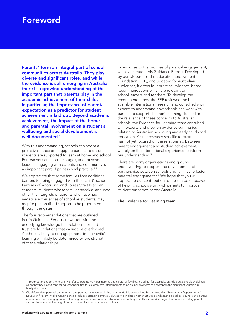## <span id="page-3-0"></span>Foreword

Parents\* form an integral part of school communities across Australia. They play diverse and significant roles, and while the evidence is still emerging in Australia, there is a growing understanding of the important part that parents play in the academic achievement of their child. In particular, the importance of parental expectation as a predictor for student achievement is laid out. Beyond academic achievement, the impact of the home and parental involvement on a student's wellbeing and social development is well documented.<sup>1</sup>

With this understanding, schools can adopt a proactive stance on engaging parents to ensure all students are supported to learn at home and school. For teachers at all career stages, and for school leaders, engaging with parents and community is an important part of professional practice.<sup>2,3</sup>

We appreciate that some families face additional barriers to being engaged with their child's school. Families of Aboriginal and Torres Strait Islander students, students whose families speak a language other than English, or parents who have had negative experiences of school as students, may require personalised support to help get them through the gates.4

The four recommendations that are outlined in this Guidance Report are written with the underlying knowledge that relationships and trust are foundations that cannot be overlooked. A schools ability to engage parents in their child's learning will likely be determined by the strength of these relationships.

In response to the promise of parental engagement, we have created this Guidance Report. Developed by our UK partner, the Education Endowment Foundation (EEF), and updated for Australian audiences, it offers four practical evidence‑based recommendations which are relevant to school leaders and teachers. To develop the recommendations, the EEF reviewed the best available international research and consulted with experts to understand how schools can work with parents to support children's learning. To confirm the relevance of these concepts to Australian schools, the Evidence for Learning team consulted with experts and drew on evidence summaries relating to Australian schooling and early childhood education. As the research specific to Australia has not yet focused on the relationship between parent engagement and student achievement, we rely on the international experience to inform our understanding.<sup>5</sup>

There are many organisations and groups endeavouring to support the development of partnerships between schools and families to foster parental engagement.\*\* We hope that you will appreciate our contribution to the shared endeavour of helping schools work with parents to improve student outcomes across Australia.

#### The Evidence for Learning team

Throughout this report, wherever we refer to parents we mean parents and carers, or families, including, for example, grandparents and older siblings when they have significant caring responsibilities for children. We intend parents to be an inclusive term to encompass the significant variation in family structures

<sup>\*\*</sup> We differentiate parental engagement and parental involvement in line with the definitions outlined by the Australian Government Department of Education.<sup>6</sup> Parent involvement in schools includes attending events, volunteering in class or other activities, and serving on school councils and parent committees. Parent engagement in learning encompasses parent involvement in schooling as well as a broader range of activities, including parent support for children's learning at home, at school and in community contexts.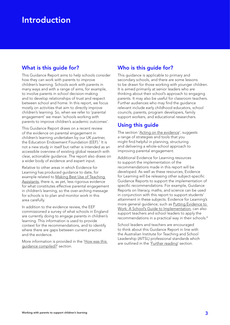# <span id="page-4-0"></span>Introduction

## What is this guide for?

This Guidance Report aims to help schools consider how they can work with parents to improve children's learning. Schools work with parents in many ways and with a range of aims, for example, to involve parents in school decision-making and to develop relationships of trust and respect between school and home. In this report, we focus mostly on activities that aim to directly improve children's learning. So, when we refer to 'parental engagement' we mean 'schools working with parents to improve children's academic outcomes'.

This Guidance Report draws on a recent review of the evidence on parental engagement in children's learning undertaken by our UK partner, the Education Endowment Foundation (EEF).<sup>7</sup> It is not a new study in itself but rather is intended as an accessible overview of existing global research with clear, actionable guidance. The report also draws on a wider body of evidence and expert input.

Relative to other areas in which Evidence for Learning has produced guidance to date, for example related to [Making Best Use of Teaching](https://www.evidenceforlearning.org.au/assets/Guidance-Reports/Teaching-Assistants/E4L-Guidance-Report-Teaching-Assistants-Sep-WEB.pdf)  [Assistants](https://www.evidenceforlearning.org.au/assets/Guidance-Reports/Teaching-Assistants/E4L-Guidance-Report-Teaching-Assistants-Sep-WEB.pdf), there is, as yet, less rigorous evidence for what constitutes effective parental engagement in children's learning, so the over-arching message for schools is to plan and monitor work in this area carefully.

In addition to the evidence review, the EEF commissioned a survey of what schools in England are currently doing to engage parents in children's learning. This information is used to provide context for the recommendations, and to identify where there are gaps between current practice and the evidence.

More information is provided in the '[How was this](#page-29-0)  [guidance compiled](#page-29-0)?' section.

## Who is this guide for?

This guidance is applicable to primary and secondary schools, and there are some lessons to be drawn for those working with younger children. It is aimed primarily at senior leaders who are thinking about their school's approach to engaging parents. It may also be useful for classroom teachers. Further audiences who may find the guidance relevant include early childhood educators, school councils, parents, program developers, family support workers, and educational researchers.

## Using this guide

The section ['Acting on the evidence](#page-25-0)', suggests a range of strategies and tools that you might find helpful in planning, structuring and delivering a whole‑school approach to improving parental engagement.

Additional Evidence for Learning resources to support the implementation of the recommendations made in this report will be developed. As well as these resources, Evidence for Learning will be releasing other subject-specific Guidance Reports to support the implementation of specific recommendations. For example, Guidance Reports on literacy, maths, and science can be used in conjunction with this report to support students' attainment in these subjects. Evidence for Learning's more general guidance, such as P[utting Evidence to](https://www.evidenceforlearning.org.au/assets/Guidance-Reports/Implementation/Guidance-Report-Putting-evidence-to-work-a-schools-guide-to-implementation2.pdf)  [Work: A School's Guide to Implementation,](https://www.evidenceforlearning.org.au/assets/Guidance-Reports/Implementation/Guidance-Report-Putting-evidence-to-work-a-schools-guide-to-implementation2.pdf) can also support teachers and school leaders to apply the recommendations in a practical way in their schools.<sup>8</sup>

School leaders and teachers are encouraged to think about this Guidance Report in line with the Australian Institute for Teaching and School Leadership (AITSL) professional standards which are outlined in the '*[Further reading'](#page-28-0)* section.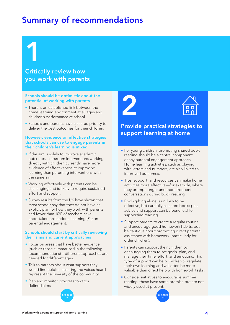# <span id="page-5-0"></span>Summary of recommendations

# 1 Critically review how you work with parents

#### Schools should be optimistic about the potential of working with parents

- There is an established link between the home learning environment at all ages and children's performance at school.
- Schools and parents have a shared priority to deliver the best outcomes for their children.

#### However, evidence on effective strategies that schools can use to engage parents in their children's learning is mixed

- If the aim is solely to improve academic outcomes, classroom interventions working directly with children currently have more evidence of effectiveness at improving learning than parenting interventions with the same aim.
- Working effectively with parents can be challenging and is likely to require sustained effort and support.
- Survey results from the UK have shown that most schools say that they do not have an explicit plan for how they work with parents, and fewer than 10% of teachers have undertaken professional learning (PL) on parental engagement.

#### Schools should start by critically reviewing their aims and current approaches

- Focus on areas that have better evidence (such as those summarised in the following recommendations) – different approaches are needed for different ages.
- Talk to parents about what support they would find helpful, ensuring the voices heard represent the diversity of the community.
- Plan and monitor progress towards defined aims.







## Provide practical strategies to support learning at home

- For young children, promoting shared book reading should be a central component of any parental engagement approach. Home learning activities, such as playing with letters and numbers, are also linked to improved outcomes.
- Tips, support, and resources can make home activities more effective—for example, where they prompt longer and more frequent conversations during book reading.
- Book‑gifting alone is unlikely to be effective, but carefully selected books plus advice and support can be beneficial for supporting reading.
- Support parents to create a regular routine and encourage good homework habits, but be cautious about promoting direct parental assistance with homework (particularly for older children).
- Parents can support their children by encouraging them to set goals, plan, and manage their time, effort, and emotions. This type of support can help children to regulate their own learning and will often be more valuable than direct help with homework tasks.
- Consider initiatives to encourage summer reading; these have some promise but are not widely used at present.

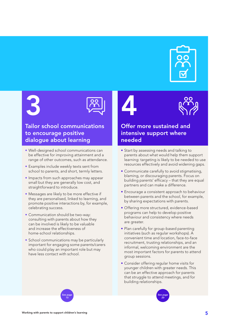

# 3



## Tailor school communications to encourage positive dialogue about learning

- Well-designed school communications can be effective for improving attainment and a range of other outcomes, such as attendance.
- Examples include weekly texts sent from school to parents, and short, termly letters.
- Impacts from such approaches may appear small but they are generally low cost, and straightforward to introduce.
- Messages are likely to be more effective if they are personalised, linked to learning, and promote positive interactions by, for example, celebrating success.
- Communication should be two-way: consulting with parents about how they can be involved is likely to be valuable and increase the effectiveness of home‑school relationships.
- School communications may be particularly important for engaging some parents/carers who could play an important role but may have less contact with school.

## Offer more sustained and intensive support where needed

4

- Start by assessing needs and talking to parents about what would help them support learning: targeting is likely to be needed to use resources effectively and avoid widening gaps.
- Communicate carefully to avoid stigmatising, blaming, or discouraging parents. Focus on building parents' efficacy – that they are equal partners and can make a difference.
- Encourage a consistent approach to behaviour between parents and the school, for example, by sharing expectations with parents.
- Offering more structured, evidence-based programs can help to develop positive behaviour and consistency where needs are greater.
- Plan carefully for group-based parenting initiatives (such as regular workshops). A convenient time and location, face-to-face recruitment, trusting relationships, and an informal, welcoming environment are the most important factors for parents to attend group sessions.
- Consider offering regular home visits for younger children with greater needs. This can be an effective approach for parents that struggle to attend meetings, and for building relationships.



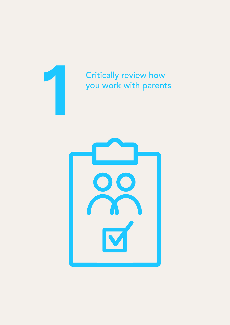<span id="page-7-0"></span>

# Critically review how you work with parents **1**

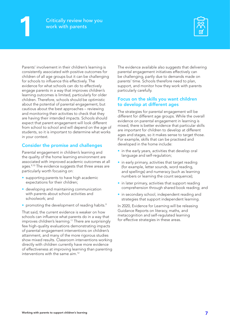

Parents' involvement in their children's learning is consistently associated with positive outcomes for children of all age groups but it can be challenging for schools to influence this effectively. The evidence for what schools can do to effectively engage parents in a way that improves children's learning outcomes is limited, particularly for older children. Therefore, schools should be optimistic about the potential of parental engagement, but cautious about the best approaches – reviewing and monitoring their activities to check that they are having their intended impacts. Schools should expect that parent engagement will look different from school to school and will depend on the age of students, so it is important to determine what works in your context.

#### Consider the promise and challenges

Parental engagement in children's learning and the quality of the home learning environment are associated with improved academic outcomes at all ages.<sup>9,10</sup> The evidence suggests that three areas are particularly worth focusing on:

- supporting parents to have high academic expectations for their children;
- developing and maintaining communication with parents about school activities and schoolwork; and
- promoting the development of reading habits. $9$

That said, the current evidence is weaker on how schools can influence what parents do in a way that improves children's learning.<sup>11</sup> There are surprisingly few high-quality evaluations demonstrating impacts of parental engagement interventions on children's attainment, and many of the more rigorous studies show mixed results. Classroom interventions working directly with children currently have more evidence of effectiveness at improving learning than parenting interventions with the same aim.<sup>12</sup>

The evidence available also suggests that delivering parental engagement initiatives effectively can be challenging, partly due to demands made on parents' time. Schools therefore need to plan, support, and monitor how they work with parents particularly carefully.

#### Focus on the skills you want children to develop at different ages

The strategies for parental engagement will be different for different age groups. While the overall evidence on parental engagement in learning is mixed, there is better evidence that particular skills are important for children to develop at different ages and stages, so it makes sense to target those. For example, skills that can be practised and developed in the home include:

- in the early years, activities that develop oral language and self-regulation;
- in early primary, activities that target reading (for example, letter sounds, word reading, and spellings) and numeracy (such as learning numbers or learning the count sequence);
- in later primary, activities that support reading comprehension through shared book reading; and
- in secondary school, independent reading and strategies that support independent learning.

In 2020, Evidence for Learning will be releasing Guidance Reports on literacy, maths, and metacognition and self‑regulated learning for effective strategies in these areas.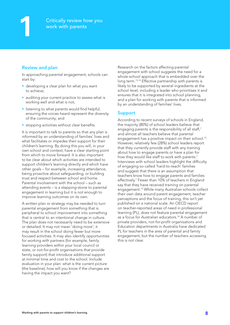#### Review and plan

In approaching parental engagement, schools can start by:

- developing a clear plan for what you want to achieve;
- auditing your current practice to assess what is working well and what is not;
- listening to what parents would find helpful, ensuring the voices heard represent the diversity of the community; and
- stopping activities without clear benefits.

It is important to talk to parents so that any plan is informed by an understanding of families' lives and what facilitates or impedes their support for their children's learning. By doing this you will, in your own school and context, have a clear starting point from which to move forward. It is also important to be clear about which activities are intended to support children's learning directly and which have other goals – for example, increasing attendance, being proactive about safeguarding, or building trust and respect between school and home. Parental involvement with the school – such as attending events – is a stepping‑stone to parental engagement in learning but it is not enough to improve learning outcomes on its own.

A written plan or strategy may be needed to turn parental engagement from something that is peripheral to school improvement into something that is central to an intentional change in culture. The plan does not necessarily need to be extensive or detailed. It may not mean 'doing more'; it may result in the school doing fewer but more focused activities. It may also identify opportunities for working with partners (for example, family learning providers within your local council or state, or not-for-profit organisations that provide family support) that introduce additional support at minimal time and cost to the school. Include evaluation in your plan: what is the current picture (the baseline); how will you know if the changes are having the impact you want?

Research on the factors affecting parental engagement with school suggests the need for a whole-school approach that is embedded over the long term.<sup>13,14</sup> Effective partnership with parents is likely to be supported by several ingredients at the school level, including a leader who prioritises it and ensures that it is integrated into school planning, and a plan for working with parents that is informed by an understanding of families' lives.

#### Support

According to recent surveys of schools in England, the majority (80%) of school leaders believe that engaging parents is the responsibility of all staff,<sup>7</sup> and almost all teachers believe that parental engagement has a positive impact on their school.<sup>15</sup> However, relatively few (28%) school leaders report that they currently provide staff with any training about how to engage parents or have a plan for how they would like staff to work with parents.<sup>7</sup> Interviews with school leaders highlight the difficulty of engaging so‑called 'hard‑to‑reach' families and suggest that there is an assumption that teachers know how to engage parents and families effectively.<sup>7</sup> Fewer than 10% of teachers in England say that they have received training on parental engagement.15 While many Australian schools collect their own data around parent engagement, teacher perceptions and the focus of training, this isn't yet published on a national scale. An OECD report on teacher‑reported areas of need in professional learning (PL), does not feature parental engagement as a focus for Australian educators.16 A number of private providers, not‑for‑profit organisations and Education departments in Australia have dedicated PL for teachers in the area of parental and family engagement, but the number of teachers accessing this is not clear.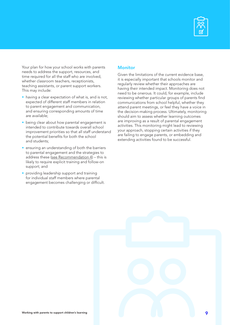

Your plan for how your school works with parents needs to address the support, resources, and time required for all the staff who are involved, whether classroom teachers, receptionists, teaching assistants, or parent support workers. This may include:

- having a clear expectation of what is, and is not, expected of different staff members in relation to parent engagement and communication, and ensuring corresponding amounts of time are available;
- being clear about how parental engagement is intended to contribute towards overall school improvement priorities so that all staff understand the potential benefits for both the school and students;
- ensuring an understanding of both the barriers to parental engagement and the strategies to address these [\(see Recommendation 4](#page-21-0)) – this is likely to require explicit training and follow-on support; and
- providing leadership support and training for individual staff members where parental engagement becomes challenging or difficult.

#### **Monitor**

Given the limitations of the current evidence base, it is especially important that schools monitor and regularly review whether their approaches are having their intended impact. Monitoring does not need to be onerous. It could, for example, include reviewing whether particular groups of parents find communications from school helpful, whether they attend parent meetings, or feel they have a voice in the decision-making process. Ultimately, monitoring should aim to assess whether learning outcomes are improving as a result of parental engagement activities. This monitoring might lead to reviewing your approach, stopping certain activities if they are failing to engage parents, or embedding and extending activities found to be successful.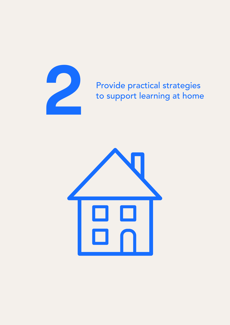

# <span id="page-11-0"></span>**2** Provide practical strategies<br>to support learning at home to support learning at home

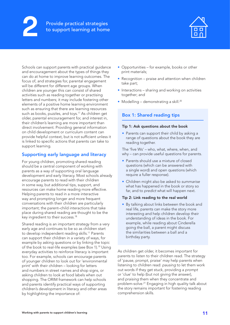#### **2** Provide practical strategies to support learning at home



Schools can support parents with practical guidance and encouragement about the types of things they can do at home to improve learning outcomes. The focus of, and strategies for, parental engagement will be different for different age groups. When children are younger this can consist of shared activities such as reading together or practising letters and numbers; it may include fostering other elements of a positive home learning environment such as ensuring that there are learning resources such as books, puzzles, and toys.17 As children get older, parental encouragement for, and interest in, their children's learning are more important than direct involvement. Providing general information on child development or curriculum content can provide helpful context, but is not sufficient unless it is linked to specific actions that parents can take to support learning.

#### Supporting early language and literacy

For young children, promoting shared reading should be a central component of working with parents as a way of supporting oral language development and early literacy. Most schools already encourage parents to read with their children in some way, but additional tips, support, and resources can make home reading more effective. Helping parents to read in a more interactive way and prompting longer and more frequent conversations with their children are particularly important; the parent–child interactions that take place during shared reading are thought to be the key ingredient to their success.<sup>18</sup>

Shared reading is an important strategy from a very early age and continues to be so as children start to develop independent reading skills.11 Parents can support their children in a variety of ways, for example by asking questions or by linking the topic of the book to real-life examples (see Box 1).<sup>19</sup> Using everyday activities to reinforce literacy is important too. For example, schools can encourage parents of younger children to look out for 'environmental print' with their children – looking for letters and numbers in street names and shop signs, or asking children to look at food labels when out shopping. The ORIM framework can help schools and parents identify practical ways of supporting children's development in literacy and other areas by highlighting the importance of:

- Opportunities for example, books or other print materials;
- Recognition praise and attention when children take part;
- Interactions sharing and working on activities together; and
- Modelling demonstrating a skill.<sup>20</sup>

### Box 1: Shared reading tips

#### Tip 1: Ask questions about the book

• Parents can support their child by asking a range of questions about the book they are reading together.

The 'five Ws' – who, what, where, when, and why – can provide useful questions for parents.

- Parents should use a mixture of closed questions (which can be answered with a single word) and open questions (which require a fuller response).
- Children might also be asked to *summarise* what has happened in the book or story so far, and to *predict* what will happen next.

#### Tip 2: Link reading to the real world

• By talking about links between the book and real life, parents can make the story more interesting and help children develop their understanding of ideas in the book. For example, while reading about Cinderella going the ball, a parent might discuss the similarities between a ball and a birthday party.

As children get older, it becomes important for parents to listen to their children read. The strategy of 'pause, prompt, praise' may help parents when listening to children read: *pausing* to let them work out words if they get stuck, providing a *prompt* or 'clue' to help (but not giving the answer), and *praising* them when they concentrate and problem-solve.<sup>21</sup> Engaging in high quality talk about the story remains important for fostering reading comprehension skills.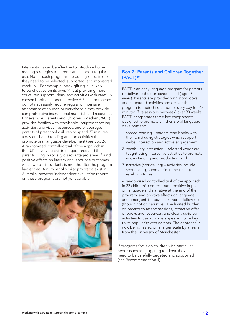Interventions can be effective to introduce home reading strategies to parents and support regular use. Not all such programs are equally effective so they need to be selected, supported, and monitored carefully.22 For example, book‑gifting is unlikely to be effective on its own.23,24 But providing more structured support, ideas, and activities with carefully chosen books can been effective.25 Such approaches do not necessarily require regular or intensive attendance at courses or workshops if they provide comprehensive instructional materials and resources. For example, Parents and Children Together (PACT) provides families with storybooks, scripted teaching activities, and visual resources, and encourages parents of preschool children to spend 20 minutes a day on shared reading and fun activities that promote oral language development (see Box 2). A randomised controlled trial of the approach in the U.K., involving children aged three and their parents living in socially disadvantaged areas, found positive effects on literacy and language outcomes which were still evident six months after the program had ended. A number of similar programs exist in Australia, however independent evaluation reports on these programs are not yet available.



#### Box 2: Parents and Children Together (PACT)26

PACT is an early language program for parents to deliver to their preschool child (aged 3–4 years). Parents are provided with storybooks and structured activities and deliver the program to their child at home every day for 20 minutes (five sessions per week) over 30 weeks. PACT incorporates three key components designed to promote children's oral language development:

- 1. shared reading parents read books with their child using strategies which support verbal interaction and active engagement;
- 2. vocabulary instruction selected words are taught using interactive activities to promote understanding and production; and
- 3. narrative (storytelling) activities include sequencing, summarising, and telling/ retelling stories.

A randomised controlled trial of the approach in 22 children's centres found positive impacts on language and narrative at the end of the program, and positive effects on language and emergent literacy at six‑month follow‑up (though not on narrative). The limited burden on parents to attend sessions, attractive offer of books and resources, and clearly scripted activities to use at home appeared to be key to its popularity with parents. The approach is now being tested on a larger scale by a team from the University of Manchester.

If programs focus on children with particular needs (such as struggling readers), they need to be carefully targeted and supported (see [Recommendation 4](#page-21-0)).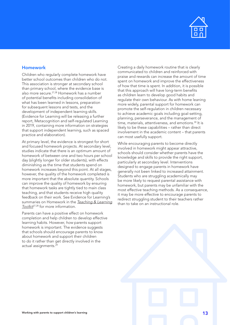

#### Homework

Children who regularly complete homework have better school outcomes than children who do not. This association is stronger at secondary school than primary school, where the evidence base is also more secure.<sup>27,28</sup> Homework has a number of potential benefits including consolidation of what has been learned in lessons, preparation for subsequent lessons and tests, and the development of independent learning skills. (Evidence for Learning will be releasing a further report, Metacognition and self‑regulated Learning in 2019, containing more information on strategies that support independent learning, such as spaced practice and elaboration).

At primary level, the evidence is strongest for short and focused homework projects. At secondary level, studies indicate that there is an optimum amount of homework of between one and two hours per school day (slightly longer for older students), with effects diminishing as the time that students spend on homework increases beyond this point. At all stages, however, the quality of the homework completed is more important that the absolute quantity. Schools can improve the quality of homework by ensuring that homework tasks are tightly tied to main class teaching, and that students receive high quality feedback on their work. See Evidence for Learning's summaries on Homework in the *[Teaching & Learning](https://evidenceforlearning.org.au/the-toolkits/the-teaching-and-learning-toolkit/full-toolkit/)  [Toolkit](https://evidenceforlearning.org.au/the-toolkits/the-teaching-and-learning-toolkit/full-toolkit/)*27,28 for more information.

Parents can have a positive effect on homework completion and help children to develop effective learning habits. However, *how* parents support homework is important. The evidence suggests that schools should encourage parents to know about homework and support their children to do it rather than get directly involved in the actual assignments.29

Creating a daily homework routine that is clearly communicated to children and reinforced with praise and rewards can increase the amount of time spent on homework and improve the effectiveness of how that time is spent. In addition, it is possible that this approach will have long-term benefits as children learn to develop good habits and regulate their own behaviour. As with home leaning more widely, parental support for homework can promote the self‑regulation in children necessary to achieve academic goals including goal-setting, planning, perseverance, and the management of time, materials, attentiveness, and emotions.<sup>30</sup> It is likely to be these capabilities – rather than direct involvement in the academic content – that parents can most usefully support.

While encouraging parents to become directly involved in homework might appear attractive, schools should consider whether parents have the knowledge and skills to provide the right support, particularly at secondary level. Interventions designed to engage parents in homework have generally not been linked to increased attainment. Students who are struggling academically may be more likely to request parental assistance with homework, but parents may be unfamiliar with the most effective teaching methods. As a consequence, it may be more effective to encourage parents to redirect struggling student to their teachers rather than to take on an instructional role.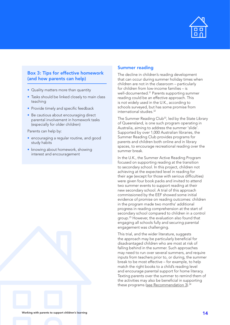

#### Box 3: Tips for effective homework (and how parents can help)

- Quality matters more than quantity
- Tasks should be linked closely to main class teaching
- Provide timely and specific feedback
- Be cautious about encouraging direct parental involvement in homework tasks (especially for older children)

Parents can help by:

- encouraging a regular routine, and good study habits
- knowing about homework, showing interest and encouragement

#### Summer reading

The decline in children's reading development that can occur during summer holiday times when children are not in the classroom – particularly for children from low‑income families – is well-documented.<sup>31</sup> Parents supporting summer reading could be an effective approach. This is not widely used in the U.K., according to schools surveyed, but has some promise from international studies.32

The Summer Reading Club<sup>33</sup>, led by the State Library of Queensland, is one such program operating in Australia, aiming to address the summer 'slide'. Supported by over 1,000 Australian libraries, the Summer Reading Club provides programs for parents and children both online and in library spaces, to encourage recreational reading over the summer break.

In the U.K., the Summer Active Reading Program focused on supporting reading at the transition to secondary school. In this project, children not achieving at the expected level in reading for their age (except for those with serious difficulties) were given four book packs and invited to attend two summer events to support reading at their new secondary school. A trial of this approach commissioned by the EEF showed some initial evidence of promise on reading outcomes: children in the program made two months' additional progress in reading comprehension at the start of secondary school compared to children in a control group.25 However, the evaluation also found that engaging all schools fully and securing parental engagement was challenging.

This trial, and the wider literature, suggests the approach may be particularly beneficial for disadvantaged children who are most at risk of falling behind in the summer. Such approaches may need to run over several summers, and require inputs from teachers prior to, or during, the summer break to be most effective – for example, to help match the right books to a child's reading level and encourage parental support for home literacy. Texting parents over the summer to remind them of the activities may also be beneficial in supporting these programs [\(see Recommendation 3](#page-16-0)).<sup>34</sup>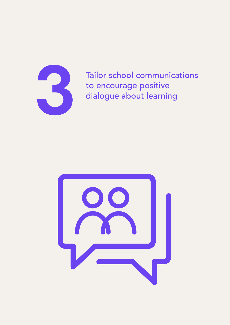

<span id="page-16-0"></span>Tailor school communications Tailor school communicato encourage positive dialogue about learning

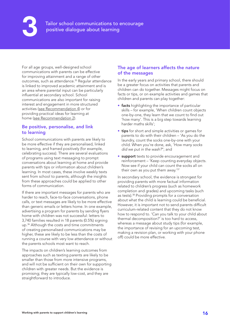**3** Tailor school communications to encourage positive dialogue about learning

For all age groups, well-designed school communications with parents can be effective for improving attainment and a range of other outcomes, such as attendance.<sup>35</sup> Regular attendance is linked to improved academic attainment and is an area where parental input can be particularly influential at secondary school. School communications are also important for raising interest and engagement in more structured activities [\(see Recommendation 4\)](#page-21-0) or for providing practical ideas for learning at home [\(see Recommendation 2](#page-11-0)).

#### Be positive, personalise, and link to learning

School communications with parents are likely to be more effective if they are personalised, linked to learning, and framed positively (for example, celebrating success). There are several evaluations of programs using text messaging to prompt conversations about learning at home and provide parents with tips or information about children's learning. In most cases, these involve weekly texts sent from school to parents, although the insights from these approaches could be applied to other forms of communication.

If there are important messages for parents who are harder to reach, face-to-face conversations, phone calls, or text messages are likely to be more effective than generic emails or letters home. In one example, advertising a program for parents by sending flyers home with children was not successful: letters to 3,740 families resulted in 18 parents (0.5%) signing up.<sup>36</sup> Although the costs and time commitments of creating personalised communications may be higher, these are likely to be less than the costs of running a course with very low attendance or without the parents schools most want to reach.

The impacts on children's learning outcomes from approaches such as texting parents are likely to be smaller than those from more intensive programs, and will not be sufficient on their own for supporting children with greater needs. But the evidence is promising; they are typically low‑cost, and they are straightforward to introduce.

#### The age of learners affects the nature of the messages

In the early years and primary school, there should be a greater focus on activities that parents and children can do together. Messages might focus on facts or tips, or on example activities and games that children and parents can play together:

- facts highlighting the importance of particular skills – for example, 'When children count objects one‑by‑one, they learn that we count to find out 'how many'. This is a big step towards learning harder maths skills';
- tips for short and simple activities or games for parents to do with their children – 'As you do the laundry, count the socks one-by-one with your child. When you're done, ask, '*How many socks did we put in the wash?*''; and
- **support** texts to provide encouragement and reinforcement – 'Keep counting everyday objects. Now see if your child can count the socks all on their own as you put them away.'37

In secondary school, the evidence is strongest for providing parents with more factual information related to children's progress (such as homework completion and grades) and upcoming tasks (such as tests).<sup>38</sup> Providing prompts for a conversation about what the child is learning could be beneficial. However, it is important not to send parents difficult curriculum‑related content that they do not know how to respond to. 'Can you talk to your child about thermal decomposition?' is too hard to access, whereas a message about study tips (for example, the importance of revising for an upcoming test, making a revision plan, or working with your phone off) could be more effective.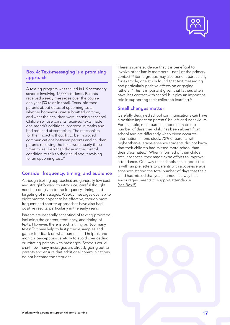

#### Box 4: Text-messaging is a promising approach

A texting program was trialled in UK secondary schools involving 15,000 students. Parents received weekly messages over the course of a year (30 texts in total). Texts informed parents about dates of upcoming tests, whether homework was submitted on time, and what their children were learning at school. Children whose parents received texts made one month's additional progress in maths and had reduced absenteeism. The mechanism for the impact is thought to be improved communications between parents and children: parents receiving the texts were nearly three times more likely than those in the control condition to talk to their child about revising for an upcoming test.<sup>38</sup>

#### Consider frequency, timing, and audience

Although texting approaches are generally low cost and straightforward to introduce, careful thought needs to be given to the frequency, timing, and targeting of messages. Weekly messages over six to eight months appear to be effective, though more frequent and shorter approaches have also had positive results, particularly in the early years.

Parents are generally accepting of texting programs, including the content, frequency, and timing of texts. However, there is such a thing as 'too many texts'.35 It may help to first provide samples and gather feedback on what parents find helpful, and monitor perceptions carefully to avoid overloading or irritating parents with messages. Schools could chart how many messages are already going out to parents and ensure that additional communications do not become too frequent.

There is some evidence that it is beneficial to involve other family members – not just the primary contact.34 Some groups may also benefit particularly; for example, one study found that text messaging had particularly positive effects on engaging fathers.39 This is important given that fathers often have less contact with school but play an important role in supporting their children's learning.40

#### Small changes matter

Carefully designed school communications can have a positive impact on parents' beliefs and behaviours. For example, most parents underestimate the number of days their child has been absent from school and act differently when given accurate information. In one study, 72% of parents with higher-than-average-absence students did not know that their children had missed more school than their classmates.41 When informed of their child's total absences, they made extra efforts to improve attendance. One way that schools can support this is with simple letters to parents with above-average absences stating the total number of days that their child has missed that year, framed in a way that encourages parents to support attendance (see Box 5).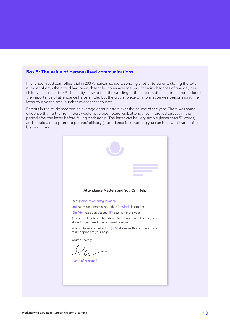#### Box 5: The value of personalised communications

In a randomised controlled trial in 203 American schools, sending a letter to parents stating the total number of days their child had been absent led to an average reduction in absences of one day per child (versus no letter).<sup>41</sup> The study showed that the wording of the letter matters: a simple reminder of the importance of attendance helps a little, but the crucial piece of information was personalising the letter to give the total number of absences to date.

Parents in the study received an average of four letters over the course of the year. There was some evidence that further reminders would have been beneficial: attendance improved directly in the period after the letter before falling back again. The letter can be very simple (fewer than 50 words) and should aim to promote parents' efficacy ('attendance is something you can help with') rather than blaming them.

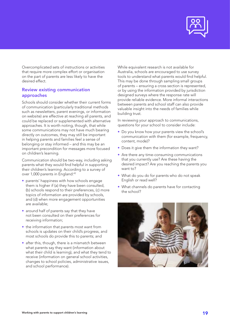

Overcomplicated sets of instructions or activities that require more complex effort or organisation on the part of parents are less likely to have the desired effect.

#### Review existing communication approaches

Schools should consider whether their current forms of communication (particularly traditional methods such as newsletters, parent evenings, or information on website) are effective at reaching all parents, and could be replaced or supplemented with alternative approaches. It is worth noting, though, that while some communications may not have much bearing directly on outcomes, they may still be important in helping parents and families feel a sense of belonging or stay informed – and this may be an important precondition for messages more focused on children's learning.

Communication should be two‑way, including asking parents what they would find helpful in supporting their children's learning. According to a survey of over 1,000 parents in England:<sup>42</sup>

- parents' happiness with how schools engage them is higher if (a) they have been consulted, (b) schools respond to their preferences, (c) more topics of information are provided by schools, and (d) when more engagement opportunities are available;
- around half of parents say that they have not been consulted on their preferences for receiving information;
- the information that parents most want from schools is updates on their child's progress, and most schools do provide this to parents; and
- after this, though, there is a mismatch between what parents say they want (information about what their child is learning), and what they tend to receive (information on general school activities, changes to school policies, administrative issues, and school performance).

While equivalent research is not available for Australia, schools are encouraged to use survey tools to understand what parents would find helpful. This may be done through sampling small groups of parents – ensuring a cross section is represented, or by using the information provided by jurisdiction designed surveys where the response rate will provide reliable evidence. More informal interactions between parents and school staff can also provide valuable insight into the needs of families while building trust.

In reviewing your approach to communications, questions for your school to consider include:

- Do you know how your parents view the school's communication with them (for example, frequency, content, mode)?
- Does it give them the information they want?
- Are there any time-consuming communications that you currently use? Are these having the desired impact? Are you reaching the parents you want to?
- What do you do for parents who do not speak English or read well?
- What channels do parents have for contacting the school?

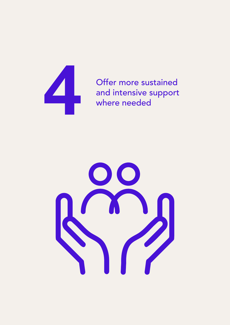

<span id="page-21-0"></span>Offer more sustained<br>and intensive support<br>where needed and intensive support where needed

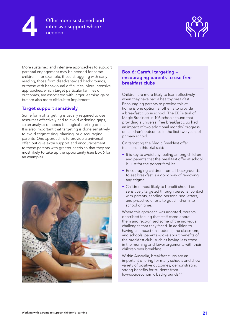



More sustained and intensive approaches to support parental engagement may be needed for some children – for example, those struggling with early reading, those from disadvantaged backgrounds, or those with behavioural difficulties. More intensive approaches, which target particular families or outcomes, are associated with larger learning gains, but are also more difficult to implement.

#### Target support sensitively

Some form of targeting is usually required to use resources effectively and to avoid widening gaps, so an analysis of needs is a logical starting point. It is also important that targeting is done sensitively to avoid stigmatising, blaming, or discouraging parents. One approach is to provide a universal offer, but give extra support and encouragement to those parents with greater needs so that they are most likely to take up the opportunity (see Box 6 for an example).



#### Box 6: Careful targeting – encouraging parents to use free breakfast clubs

Children are more likely to learn effectively when they have had a healthy breakfast. Encouraging parents to provide this at home is one option; another is to provide a breakfast club in school. The EEF's trial of Magic Breakfast in 106 schools found that providing a universal free breakfast club had an impact of two additional months' progress on children's outcomes in the first two years of primary school.

On targeting the Magic Breakfast offer, teachers in this trial said:

- It is key to avoid any feeling among children and parents that the breakfast offer at school is 'just for the poorer families'.
- Encouraging children from all backgrounds to eat breakfast is a good way of removing any stigma.
- Children most likely to benefit should be sensitively targeted through personal contact with parents, sending personalised letters, and proactive efforts to get children into school on time.

Where this approach was adopted, parents described feeling that staff cared about them and recognised some of the individual challenges that they faced. In addition to having an impact on students, the classroom, and schools, parents spoke about benefits of the breakfast club, such as having less stress in the morning and fewer arguments with their children over breakfast.

Within Australia, breakfast clubs are an important offering for many schools and show variety of positive outcomes, demonstrating strong benefits for students from low-socioeconomic backgrounds.<sup>43</sup>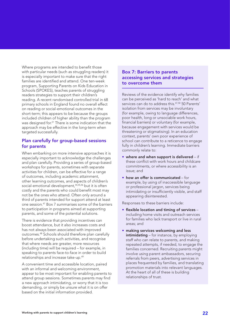Where programs are intended to benefit those with particular needs (such as struggling readers) it is especially important to make sure that the right families are identified and attend. One ten-week program, Supporting Parents on Kids Education in Schools (SPOKES), teaches parents of struggling readers strategies to support their children's reading. A recent randomised controlled trial in 68 primary schools in England found no overall effect on reading or social‑emotional outcomes in the short-term; this appears to be because the groups included children of higher ability than the program was designed for.<sup>21</sup> There is some indication that the approach may be effective in the long-term when targeted successfully.

#### Plan carefully for group‑based sessions for parents

When embarking on more intensive approaches it is especially important to acknowledge the challenges and plan carefully. Providing a series of group-based workshops for parents, sometimes with separate activities for children, can be effective for a range of outcomes, including academic attainment, other learning outcomes, and aspects of children's social-emotional development,<sup>44,45,46</sup> but it is often costly and the parents who could benefit most may not be the ones who attend. Often only around a third of parents intended for support attend at least one session.47 Box 7 summarises some of the barriers to participation in programs aimed at supporting parents, and some of the potential solutions.

There is evidence that providing incentives can boost attendance, but it also increases costs and has not always been associated with improved outcomes.48 Schools should therefore plan carefully before undertaking such activities, and recognise that where needs are greater, more resources (including time) will be required – for example, in speaking to parents face-to-face in order to build relationships and increase take-up.<sup>49</sup>

A convenient time and accessible location, paired with an informal and welcoming environment, appear to be most important for enabling parents to attend group sessions. Sometimes parents may find a new approach intimidating, or worry that it is too demanding, or simply be unsure what it is on offer based on the initial information provided.

#### Box 7: Barriers to parents accessing services and strategies to overcome them

Reviews of the evidence identify why families can be perceived as 'hard to reach' and what services can do to address this.47,50 50 Parents' isolation from services may be involuntary (for example, owing to language differences, poor health, long or unsociable work hours, financial barriers) or voluntary (for example, because engagement with services would be threatening or stigmatising). In an education context, parents' own poor experience of school can contribute to a reticence to engage fully in children's learning. Immediate barriers commonly relate to:

- $\bullet$  where and when support is delivered  $-$  if these conflict with work hours and childcare commitments, or where accessibility is an issue; and
- how an offer is communicated for example, by using of inaccessible language or professional jargon, services being intimidating or insufficiently visible, and staff appearing disinterested.

Responses to these barriers include:

- flexible location and timing of services including home visits and outreach services for families who lack transport or live in rural areas; and
- making services welcoming and less intimidating – for instance, by employing staff who can relate to parents, and making repeated attempts, if needed, to engage the families concerned. Recruiting parents might involve using parent ambassadors, securing referrals from peers, advertising services in places frequented by families, and translating promotion materials into relevant languages. At the heart of all of these is building relationships of trust.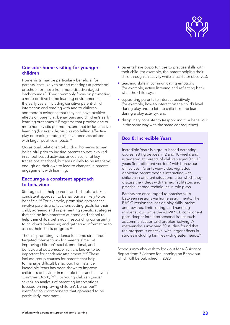

#### Consider home visiting for younger children

Home visits may be particularly beneficial for parents least likely to attend meetings at preschool or school, or those from more disadvantaged backgrounds.51 They commonly focus on promoting a more positive home learning environment in the early years, including sensitive parent-child interaction and reading with and to children, and there is evidence that they can have positive effects on parenting behaviours and children's early learning outcomes.52 Programs that provide one or more home visits per month, and that include active learning (for example, visitors modelling effective play or reading strategies) have been associated with larger positive impacts.<sup>53</sup>

Occasional, relationship-building home-visits may be helpful prior to inviting parents to get involved in school-based activities or courses, or at key transitions at school, but are unlikely to be intensive enough on their own to lead to changes in parents' engagement with learning.

#### Encourage a consistent approach to behaviour

Strategies that help parents and schools to take a consistent approach to behaviour are likely to be beneficial.54 For example, promising approaches involve parents and teachers setting goals for their child, agreeing and implementing specific strategies that can be implemented at home and school to help their child's behaviour, responding consistently to children's behaviour, and gathering information to assess their child's progress.<sup>55</sup>

There is promising evidence for some structured, targeted interventions for parents aimed at improving children's social, emotional, and behavioural outcomes, which are known to be important for academic attainment.<sup>56,57</sup> These include group courses for parents that help to manage difficult behaviour. For instance, Incredible Years has been shown to improve children's behaviour in multiple trials and in several countries (Box 8).58,59 For young children (under seven), an analysis of parenting interventions focused on improving children's behaviour<sup>60</sup> identified four components that appeared to be particularly important:

- parents have opportunities to practise skills with their child (for example, the parent helping their child through an activity while a facilitator observes);
- teaching skills in communicating emotions (for example, active listening and reflecting back what the child says);
- supporting parents to interact positively (for example, how to interact on the child's level during play and to let the child take the lead during a play activity); and
- disciplinary consistency (responding to a behaviour in the same way with the same consequence).

#### Box 8: Incredible Years

Incredible Years is a group‑based parenting course lasting between 12 and 18 weeks and is targeted at parents of children aged 0 to 12 years (four different versions) with behaviour difficulties. Parents view video vignettes depicting parent models interacting with children in different situations, after which they discuss the videos with trained facilitators and practise learned techniques in role plays.

Parents are encouraged to practise skills between sessions via home assignments. The BASIC version focuses on play skills, praise and rewards, limit‑setting, and handling misbehaviour, while the ADVANCE component goes deeper into interpersonal issues such as communication and problem solving. A meta‑analysis involving 50 studies found that the program is effective, with larger effects in studies including families with greater needs.<sup>58</sup>

Schools may also wish to look out for a Guidance Report from Evidence for Learning on Behaviour which will be published in 2020.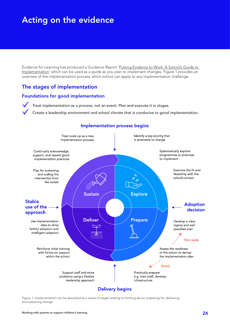# <span id="page-25-0"></span>Acting on the evidence

Evidence for Learning has produced a Guidance Report ['Putting Evidence to Work: A School's Guide to](https://www.evidenceforlearning.org.au/assets/Guidance-Reports/Implementation/Guidance-Report-Putting-evidence-to-work-a-schools-guide-to-implementation2.pdf)  [Implementation](https://www.evidenceforlearning.org.au/assets/Guidance-Reports/Implementation/Guidance-Report-Putting-evidence-to-work-a-schools-guide-to-implementation2.pdf)' which can be used as a guide as you plan to implement changes. Figure 1 provides an overview of the implementation process which school can apply to any implementation challenge.

## The stages of implementation

#### Foundations for good implementation

Treat implementation as a process, not an event. Plan and execute it in stages.

Create a leadership environment and school climate that is conducive to good implementation.



#### **Implementation process begins**

*Figure 1: Implementation can be described as a series of stages relating to thinking about, preparing for, delivering, and sustaining change.*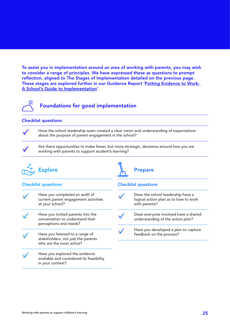To assist you in implementation around an area of working with parents, you may wish to consider a range of principles. We have expressed these as questions to prompt reflection, aligned to The Stages of Implementation detailed on the previous page. These stages are explored further in our Guidance Report 'Putting Evidence to Work: A [School's Guide to Implementation'](https://www.evidenceforlearning.org.au/assets/Guidance-Reports/Implementation/Guidance-Report-Putting-evidence-to-work-a-schools-guide-to-implementation2.pdf).



#### Checklist questions

Have the school leadership team created a clear vision and understanding of expectations about the purpose of parent engagement in the school?

Are there opportunities to make fewer, but more strategic, decisions around how you are working with parents to support student's learning?



#### Checklist questions

- Have you completed an audit of current parent engagement activities at your school?
- Have you invited parents into the conversation to understand their perceptions and needs?
	- Have you listened to a range of stakeholders, not just the parents who are the most active?
	- Have you explored the evidence available and considered its feasibility in your context?

Checklist questions

Prepare

- Does the school leadership have a logical action plan as to how to work with parents? Does everyone involved have a shared understanding of the action plan?
	- Have you developed a plan to capture feedback on the process?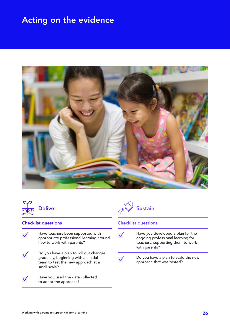# Acting on the evidence





#### Checklist questions

- Have teachers been supported with  $\checkmark$ appropriate professional learning around how to work with parents?
- $\checkmark$ Do you have a plan to roll out changes gradually, beginning with an initial team to test the new approach at a small scale?
	- Have you used the data collected to adapt the approach?



#### Checklist questions

Have you developed a plan for the ongoing professional learning for teachers, supporting them to work with parents? Do you have a plan to scale the new

approach that was tested?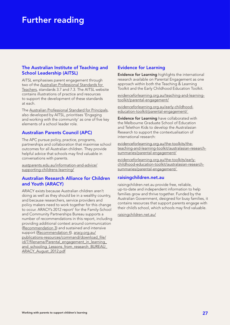# <span id="page-28-0"></span>Further reading

#### The Australian Institute of Teaching and School Leadership (AITSL)

AITSL emphasises parent engagement through two of the [Australian Professional Standards for](https://www.aitsl.edu.au/teach/standards)  [Teachers,](https://www.aitsl.edu.au/teach/standards) standards 3.7 and 7.3. The AITSL website contains illustrations of practice and resources to support the development of these standards at each.

The [Australian Professional Standard for Principals,](https://www.aitsl.edu.au/lead-develop/understand-the-principal-standard/unpack-the-principal-standard) also developed by AITSL, prioritises 'Engaging and working with the community' as one of five key elements of a school leader role.

#### Australian Parents Council (APC)

The APC pursue policy, practice, programs, partnerships and collaboration that maximise school outcomes for all Australian children. They provide helpful advice that schools may find valuable in conversations with parents.

[austparents.edu.au/information-and-advice/](https://austparents.edu.au/information-and-advice/supporting-childrens-learning/) [supporting-childrens-learning/](https://austparents.edu.au/information-and-advice/supporting-childrens-learning/)

#### Australian Research Alliance for Children and Youth (ARACY)

ARACY exists because Australian children aren't doing as well as they should be in a wealthy country, and because researchers, service providers and policy makers need to work together for this change to occur. ARACY's 2012 report<sup>1</sup> for the Family-School and Community Partnerships Bureau supports a number of recommendations in this report, including providing additional context around communication [\(Recommendation 3](#page-16-0)) and sustained and intensive support ([Recommendation 4](#page-21-0)). [aracy.org.au/](https://www.aracy.org.au/publications-resources/command/download_file/id/7/filename/Parental_engagement_in_learning_and_schooling_Lessons_from_research_BUREAU_ARACY_August_2012.pdf) [publications-resources/command/download\\_file/](https://www.aracy.org.au/publications-resources/command/download_file/id/7/filename/Parental_engagement_in_learning_and_schooling_Lessons_from_research_BUREAU_ARACY_August_2012.pdf) id/7/filename/Parental\_engagement\_in\_learning and\_schooling\_Lessons\_from\_research\_BUREAU [ARACY\\_August\\_2012.pdf](https://www.aracy.org.au/publications-resources/command/download_file/id/7/filename/Parental_engagement_in_learning_and_schooling_Lessons_from_research_BUREAU_ARACY_August_2012.pdf)

#### Evidence for Learning

Evidence for Learning highlights the international research available on Parental Engagement as one approach within both the Teaching & Learning Toolkit and the Early Childhood Education Toolkit.

[evidenceforlearning.org.au/teaching-and-learning](https://evidenceforlearning.org.au/teaching-and-learning-toolkit/parental-engagement/)[toolkit/parental-engagement/](https://evidenceforlearning.org.au/teaching-and-learning-toolkit/parental-engagement/)

[evidenceforlearning.org.au/early-childhood](https://evidenceforlearning.org.au/early-childhood-education-toolkit/parental-engagement/)[education-toolkit/parental-engagement/](https://evidenceforlearning.org.au/early-childhood-education-toolkit/parental-engagement/) 

Evidence for Learning have collaborated with the Melbourne Graduate School of Education and Telethon Kids to develop the Australasian Research to support the contextualisation of international research:

[evidenceforlearning.org.au/the-toolkits/the](https://evidenceforlearning.org.au/the-toolkits/the-teaching-and-learning-toolkit/australasian-research-summaries/parental-engagement/)[teaching-and-learning-toolkit/australasian-research](https://evidenceforlearning.org.au/the-toolkits/the-teaching-and-learning-toolkit/australasian-research-summaries/parental-engagement/)[summaries/parental-engagement/](https://evidenceforlearning.org.au/the-toolkits/the-teaching-and-learning-toolkit/australasian-research-summaries/parental-engagement/)

[evidenceforlearning.org.au/the-toolkits/early](https://evidenceforlearning.org.au/the-toolkits/early-childhood-education-toolkit/australasian-research-summaries/parental-engagement/)[childhood-education-toolkit/australasian-research](https://evidenceforlearning.org.au/the-toolkits/early-childhood-education-toolkit/australasian-research-summaries/parental-engagement/)[summaries/parental-engagement/](https://evidenceforlearning.org.au/the-toolkits/early-childhood-education-toolkit/australasian-research-summaries/parental-engagement/) 

#### raisingchildren.net.au

raisingchildren.net.au provide free, reliable, up‑to‑date and independent information to help families grow and thrive together. Funded by the Australian Government, designed for busy families, it contains resources that support parents engage with their child's school, which schools may find valuable.

[raisingchildren.net.au/](http://raisingchildren.net.au/)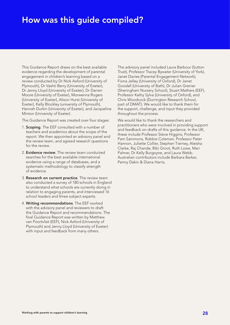# <span id="page-29-0"></span>How was this guide compiled?

This Guidance Report draws on the best available evidence regarding the development of parental engagement in children's learning based on a review conducted by Dr Nick Axford (University of Plymouth), Dr Vashti Berry (University of Exeter), Dr Jenny Lloyd (University of Exeter), Dr Darren Moore (University of Exeter), Morwenna Rogers (University of Exeter), Alison Hurst (University of Exeter), Kelly Blockley (university of Plymouth), Hannah Durkin (University of Exeter), and Jacqueline Minton (University of Exeter).

The Guidance Report was created over four stages:

- 1. Scoping. The EEF consulted with a number of teachers and academics about the scope of the report. We then appointed an advisory panel and the review team, and agreed research questions for the review.
- 2. **Evidence review**. The review team conducted searches for the best available international evidence using a range of databases, and a systematic methodology to classify strength of evidence.
- 3. Research on current practice. The review team also conducted a survey of 180 schools in England to understand what schools are currently doing in relation to engaging parents, and interviewed 16 school leaders and three subject experts.
- 4. Writing recommendations. The EEF worked with the advisory panel and reviewers to draft the Guidance Report and recommendations. The final Guidance Report was written by Matthew van Poortvliet (EEF), Nick Axford (University of Plymouth) and Jenny Lloyd (University of Exeter) with input and feedback from many others.

The advisory panel included Laura Barbour (Sutton Trust), Professor Tracey Bywater (University of York), Janet Davies (Parental Engagement Network), Fiona Jelley (University of Oxford), Dr Janet Goodall (University of Bath), Dr Julian Grenier (Sheringham Nursery School), Stuart Mathers (EEF), Professor Kathy Sylva (University of Oxford), and Chris Woodcock (Durrington Research School, part of DMAT). We would like to thank them for the support, challenge, and input they provided throughout the process.

We would like to thank the researchers and practitioners who were involved in providing support and feedback on drafts of this guidance. In the UK, these include Professor Steve Higgins, Professor Pam Sammons, Robbie Coleman, Professor Peter Hannon, Juliette Collier, Stephen Tierney, Aleisha Clarke, Raj Chande, Bibi Groot, Ruth Lowe, Mari Palmer, Dr Kelly Burgoyne, and Laura Webb. Australian contributors include Barbara Barker, Penny Dakin & Diana Harris.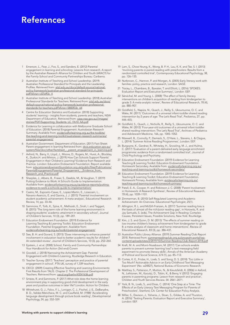## <span id="page-30-0"></span>**References**

- 1 Emerson, L., Fear, J., Fox, S., and Sanders, E. (2012) Parental engagement in learning and schooling: Lessons from research. A report by the Australian Research Alliance for Children and Youth (ARACY) for the Family‑School and Community Partnerships Bureau: Canberra.
- 2 Australian Institute of Teaching and School Leadership. (2019) Australian Professional Standard for Principals and the Leadership Profiles. Retrieved from: [aitsl.edu.au/docs/default-source/national](https://www.aitsl.edu.au/docs/default-source/national-policy-framework/australian-professional-standard-for-principals.pdf?sfvrsn=c07eff3c_4)[policy-framework/australian-professional-standard-for-principals.](https://www.aitsl.edu.au/docs/default-source/national-policy-framework/australian-professional-standard-for-principals.pdf?sfvrsn=c07eff3c_4) [pdf?sfvrsn=c07eff3c\\_4](https://www.aitsl.edu.au/docs/default-source/national-policy-framework/australian-professional-standard-for-principals.pdf?sfvrsn=c07eff3c_4)
- Australian Institute of Teaching and School Leadership. (2018) Australian Professional Standards for Teachers. Retrieved from: [aitsl.edu.au/docs/](http://www.aitsl.edu.au/docs/default-source/national-policy-framework/australian-professional-standards-for-teachers.pdf?sfvrsn=5800f33c_64) [default-source/national-policy-framework/australian-professional](http://www.aitsl.edu.au/docs/default-source/national-policy-framework/australian-professional-standards-for-teachers.pdf?sfvrsn=5800f33c_64)[standards-for-teachers.pdf?sfvrsn=5800f33c\\_64](http://www.aitsl.edu.au/docs/default-source/national-policy-framework/australian-professional-standards-for-teachers.pdf?sfvrsn=5800f33c_64)
- 4 Centre for Education Statistics and Evaluation. (2018) Supporting students' learning – insights from students, parents and teachers, NSW Department of Education, Retrieved from: [cese.nsw.gov.au//images/](https://www.cese.nsw.gov.au//images/stories/PDF/Supporting_Students_LC_FA10_AA.pdf) [stories/PDF/Supporting\\_Students\\_LC\\_FA10\\_AA.pdf](https://www.cese.nsw.gov.au//images/stories/PDF/Supporting_Students_LC_FA10_AA.pdf)
- 5 Evidence for Learning in collaboration with Melbourne Graduate School of Education. (2018) Parental Engagement: Australasian Research Summary. Available from: [evidenceforlearning.org.au/the-toolkits/](https://evidenceforlearning.org.au/the-toolkits/the-teaching-and-learning-toolkit/australasian-research-summaries/parental-engagement/) [the-teaching-and-learning-toolkit/australasian-research-summaries/](https://evidenceforlearning.org.au/the-toolkits/the-teaching-and-learning-toolkit/australasian-research-summaries/parental-engagement/) [parental-engagement/](https://evidenceforlearning.org.au/the-toolkits/the-teaching-and-learning-toolkit/australasian-research-summaries/parental-engagement/)
- 6 Australian Government: Department of Education. (2017) Fact Sheet: Parent engagement in learning Retrieved from: [docs.education.gov.au/](https://docs.education.gov.au/system/files/doc/other/factsheet_-_parent_engagement_in_learning.pdf) system/files/doc/other/factsheet - parent\_engagement\_in\_learning.pdf
- Axford, N., Berry, V., Lloyd, J., Moore, D., Rogers, M., Hurst, A., Blockley, K., Durkin,H. and Minton, J. (2019) How Can Schools Support Parents' Engagement in their Children's Learning? Evidence from Research and Practice. London: Education Endowment Foundation. Report available from: [educationendowmentfoundation.org.uk/public/files/Publications/](https://educationendowmentfoundation.org.uk/public/files/Publications/ParentalEngagement/Parental_Engagement_-_Evidence_from_Research_and_Practice.pdf) ParentalEngagement/Parental\_Engagement - Evidence\_from [Research\\_and\\_Practice.pdf](https://educationendowmentfoundation.org.uk/public/files/Publications/ParentalEngagement/Parental_Engagement_-_Evidence_from_Research_and_Practice.pdf)
- 8 Sharples, J., Albers, B., Fraser, S., Deeble, M., & Vaughan, T. (2019) Putting Evidence to Work: A School's Guide to Implementation. Available from: [evidenceforlearning.org.au/guidance-reports/putting](https://evidenceforlearning.org.au/guidance-reports/putting-evidence-to-work-a-schools-guide-to-implementation/)vidence-to-work-a-schools-guide-to-implementation/
- Castro, M., Exposito-Casas, E., Lopez-Martin, E., Lizasoain, L., Navarro‑Asencio, E. and Gaviria, J. J. (2015) 'Parental involvement on student academic achievement: A meta‑analysis', Educational Research Review, 14, pp. 33–46.
- 10 Sammons, P., Toth, K., Sylva, K., Melhuish, E., Sirah, I. and Taggart, B. (2015) 'The long‑term role of the home learning environment in shaping students' academic attainment in secondary school', Journal of Children's Services, 10 (3), pp. 189–201.
- 11 Education Endowment Foundation. (2019) Evidence for Learning Teaching & Learning Toolkit: Education Endowment Foundation. Parental Engagement. Available from: [evidenceforlearning.org.au/toolkit/parental-engagement/](https://www.evidenceforlearning.org.au/toolkit/parental-engagement/)
- 12 See, B. H. and Gorard, S. (2015) 'Does intervening to enhance parental involvement in education lead to better academic results for children? An extended review', Journal of Children's Services, 10 (3), pp. 252–264.
- 13 Epstein, J. et al. (2008) School, Family and Community Partnerships: Your Handbook for Action (3rd end) Corwin
- 14 Goodall, J. (2018) Narrowing the Achievement Gap: Parental Engagement with Children's Learning, Routledge Research in Education.
- 15 Teacher Survey. (2017) 'Teachers' perception and practice of parental engagement in school', PTA UK, survey of 1,339 teachers.
- 16 OECD. (2009) Creating Effective Teaching and Learning Environments: First Results from TALIS. Chapter 2: The Professional Development of Teachers. Retrieved from: [oecd.org/berlin/43541636.pdf](https://www.oecd.org/berlin/43541636.pdf)
- 17 Smees, R. and Sammons, P. (2017) What role does the home learning environment play in supporting good child development in the early years and positive outcomes in later life? London: Action for Children.
- 18 Whitehurst, G. J., Falco, F. L., Lonigan, C. J., Fischel, J. E., DeBaryshe, B. D., Valdez‑Menchaca, M. C. and Caulfield, M. (1988) 'Accelerating language development through picture book reading', Developmental Psychology, 24, pp. 552–559.
- 19 Lam, S., Chow‑Yeung, K., Wong, B. P. H., Lau, K. K. and Tse, S. I. (2013) 'Involving parents in paired reading with preschoolers: Results from a randomized controlled trial', Contemporary Educational Psychology, 38, pp. 126–135.
- 20 Nutbrown, C., Hannon, P. and Morgan, A. (2005) Early literacy work with families: policy, practice and research, London: SAGE
- 21 Tracey, L., Chambers, B., Bywater, T. and Elliott, L. (2016) 'SPOKES: Evaluation Report and Executive Summary', London: EEF.
- 22 Sénéchal, M. and Young, L. (2008) 'The effect of family literacy interventions on children's acquisition of reading from kindergarten to grade 3: A meta-analytic review', Review of Educational Research, 78 (4), pp. 880–907.
- 23 Goldfeld, S., Napiza, N., Quach, J., Reilly, S., Ukoumunne, O. C. and Wake, M. (2011) 'Outcomes of a universal infant-toddler shared reading intervention by 2 years of age: The Let's Read Trial', Pediatrics, 27, pp. 444–455;
- 24 Goldfeld, S., Quach, J., Nicholls, R., Reilly, S., Ukoumunne, O. C. and Wake, M. (2012) 'Four-year-old outcomes of a universal infant toddler shared reading intervention: The Let's Read Trial', Archives of Pediatrics and Adolescent Medicine, 166, pp. 1045–1052.
- 25 Maxwell, B., Connolly, P., Demack, S., O'Hare, L., Stevens, L. & Clague, L. (2014) 'Summer Active Reading Programmes', London: EEF.
- 26 Burgoyne, K., Gardner, R., Whiteley, H., Snowling, M. J., and Hulme, C. (2017) 'Evaluation of a parent‑delivered early language enrichment programme: evidence from a randomised controlled trial', Journal of Child Psychology and Psychiatry.
- 27 Education Endowment Foundation. (2019) Evidence for Learning Teaching & Learning Toolkit: Education Endowment Foundation. Homework Secondary. Available from: [evidenceforlearning.org.au/](http://www.evidenceforlearning.org.au/teaching-and-learning-toolkit/homework-secondary/) [teaching-and-learning-toolkit/homework-secondary/](http://www.evidenceforlearning.org.au/teaching-and-learning-toolkit/homework-secondary/)
- 28 Education Endowment Foundation. (2019) Evidence for Learning Teaching & Learning Toolkit: Education Endowment Foundation. Homework Primary. Available from: [evidenceforlearning.org.au/](http://www.evidenceforlearning.org.au/teaching-and-learning-toolkit/homework-primary/) [teaching-and-learning-toolkit/homework-primary/](http://www.evidenceforlearning.org.au/teaching-and-learning-toolkit/homework-primary/)
- 29 Patall, E. A., Cooper, H. and Robinson J. C. (2008) 'Parent Involvement in Homework: A Research Synthesis', Review of Educational Research, 78 (4), pp. 1039–1101.
- 30 Zimmerman, B. (2010) Self‑Regulated Learning and Academic Achievement: An Overview. Educational Psychologist, 25(1).
- 31 Allington, R. L. and McGill-Franzen, A. (2017) 'Summer reading loss is the basis of almost all the rich/poor reading gap', in Horowitz, R. and Jay Samuels, S. (eds), The Achievement Gap in Reading: Complex Causes, Persistent Issues, Possible Solutions, New York: Routledge.
- 32 Kim, J. S. and Quinn, D. M. (2013) 'The effects of summer reading on low‑income children's literacy achievement from kindergarten to grade 8: a meta-analysis of classroom and home interventions', Review of Educational Research, 83 (3), pp. 386–431.
- 33 Australian Public Library Alliance. (2019) Summer Reading Club Report 2018. Retrieved from: summerreadingclub.org.au/program-portal/wp [content/uploads/sites/2/2019/10/Summer-Reading-Club-Report-2018.pdf](http://www.summerreadingclub.org.au/program-portal/wp-content/uploads/sites/2/2019/10/Summer-Reading-Club-Report-2018.pdf)
- 34 Kraft, M. A. and Monti-Nussbaum, M. (2017) 'Can schools enable parents to prevent summer learning loss? a text-messaging field experiment to promote literacy skills', Annals of the American Academy of Political and Social Science, 674 (1), pp. 85–112.
- 35 Cortes, K. E., Fricke, H., Loeb, S. and Song, D. S. (2018) 'Too Little or Too Much? Actionable Advice in an Early-Childhood Text Messaging Experiment' (No. w24827), National Bureau of Economic Research.
- 36 Matthey. S., Patterson, P., Mutton, N., & Kreutzfeldt, K. (2006) in Axford, N., Lehtonen, M., Kaoukji, D., Tobin, K., & Berry, V. (2012) 'Engaging parents in parenting programs: Lesson from research and practice', Children and Youth Services Review. 34: 2061–2071.
- 37 York, B. N., Loeb, S., and Doss, C. (2014) 'One Step at a Time: The Effects of an Early Literacy Text Messaging Program for Parents of Preschoolers', Stanford, CA: Center for Education Policy Analysis.
- 38 Miller, S., Davison, J., Yohanis, J., Sloan, S., Gildea, A. and Thurston, A. (2016) 'Texting Parents: Evaluation Report and Executive Summary', London: EEF.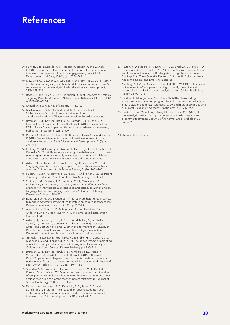# References

- 39 Hurwitz, L. B., Lauricella, A. R., Hanson, A., Raden, A. and Wartella, E. (2015) 'Supporting Head Start parents: impact of a text message intervention on parent-child activity engagement', Early Child Development and Care, 185 (9), pp. 1373–1389.
- 40 McWayne, C., Downer, J. T., Campos, R. and Harris, R. D. (2013) 'Father involvement during early childhood and its association with children's early learning: a meta-analysis', Early Education and Development, 24(6), 898–922.
- 41 Rogers, T. and Feller, A. (2018) 'Reducing Student Absences at Scale by Targeting Parents' Misbeliefs', Nature Human Behaviour, DOI: 10.1038/ s41562-018-0328-1.
- 42 Unpublished U.K. survey of parents,  $N = 1,210$ .
- 43 MacDonald, F. (2019). 'Evaluation of the School Breakfast Clubs Program' Victoria University. Retrieved from: [vu.edu.au/sites/default/files/evaluation-school-breakfast-clubs.pdf](https://www.vu.edu.au/sites/default/files/evaluation-school-breakfast-clubs.pdf)
- 44 Brotman, L. M., Dawson-McClure, S., Calzada, E. J., Huang, K. Y. Kamboukos, D., Palamar, J. J. and Petkova, E. (2013) 'Cluster (school) RCT of ParentCorps: impact on kindergarten academic achievement', Pediatrics, 131 (5), pp. e1521–e1529
- 45 Pears, K. C., Fisher, P. A., Kim, H. K., Bruce, J., Healey, C. V. and Yoerger, K. (2013) 'Immediate effects of a school readiness intervention for children in foster care', Early Education and Development, 24 (6), pp. 771–791
- 46 Furlong, M., McGilloway, S., Bywater, T., Hutchings, J., Smith, S. M. and Donnelly, M. (2012) 'Behavioural and cognitive‑behavioural group based parenting programmes for early‑onset conduct problems in children aged 3 to 12 years' (review), The Cochrane Collaboration: Wiley.
- 47 Axford, N., Lehtonen, M., Tobin, K., Kaoukji, D. and Berry, V. (2012) 'Engaging parents in parenting programs: lessons from research and practice', Children and Youth Services Review, 34 (10), 2061–2071.
- 48 Husain, F., Jabin, N., Haywood, S., Kasim, A. and Paylor, J. (2016) 'Parent Academy: Evaluation Report and Executive Summary', London: EEF.
- 49. O'Brien, L. M., Paratore, J. R., Leighton, C. M., Cassano, C. M., Krol‑Sinclair, B. and Green, J. G. (2014) 'Examining differential effects of a family literacy program on language and literacy growth of English language learners with varying vocabularies', Journal of Literacy Research, 46 (3), pp. 383–415.
- 50 Boag‑Munroe, G. and Evangelou, M. (2012) 'From hard to reach to how to reach: A systematic review of the literature on hard-to-reach families'. Research Papers In Education, 27 (2), pp. 209–239.
- 51 Astuto, J. and Allen, L. (2014) 'Improving School Readiness for Children Living in Urban Poverty Through Home‑Based Intervention' (unpublished).
- 52 Axford, N., Barlow, J., Coad, J., Schrader‑McMillan, A., Sonthalia, S., Toft, A., Wrigley, Z., Goodwin, A., Ohlson, C. and Bjornstad, G. (2015) 'The Best Start at Home: What Works to Improve the Quality of Parent‑Child Interactions from Conception to Age 5 Years? A Rapid Review of Interventions', London: Early Intervention Foundation.
- 53 Grindal, T., Bowne, J. B., Yoshikawa, H., Schindler, H. S., Duncan, G. J., Magnuson, K. and Shonkoff, J. P. (2016) 'The added impact of parenting education in early childhood education programs: A meta-analysis', Children and Youth Services Review, 70 (Nov), pp. 238–249.
- 54 Brotman, L. M., Dawson‑McClure, S., Kamboukos, D., Huang, K. Y., Calzada, E. J., Goldfeld, K. and Petkova, E. (2016) 'Effects of ParentCorps in prekindergarten on child mental health and academic performance: follow-up of a randomized clinical trial through 8 years of age', JAMA Pediatrics, 170 (12), pp. 1149–1155.
- 55 Sheridan, S. M., Witte, A. L., Holmes, S. R., Coutts, M. J., Dent, A. L., Kunz, G. M. and Wu, C. (2017) 'A randomized trial examining the effects of Conjoint Behavioral Consultation in rural schools: student outcomes and the mediating role of the teacher–parent relationship', Journal of School Psychology, 61 (April), pp. 33–53.
- 56 Durlak, J. A., Weissberg, R. P., Dymnicki, A. B., Taylor, R. D. and Schellinger, K. B. (2011) 'The impact of enhancing students' social and emotional learning: a meta-analysis of school-based universal interventions', Child Development, 82 (1), pp. 405–432;
- 57 Payton, J., Weissberg, R. P., Durlak, J. A., Dymnicki, A. B., Taylor, R. D., Schellinger, K. B. and Pachan, M. (2008) 'The Positive Impact of Social and Emotional Learning for Kindergarten to Eighth-Grade Students: Findings from Three Scientific Reviews', Chicago, IL: Collaborative for Academic, Social, and Emotional Learning.
- 58 Menting, A. T. A., de Castro, B. O. and Matthys, W. (2013) 'Effectiveness of the Incredible Years parent training to modify disruptive and prosocial child behavior: a meta-analytic review', Clinical Psychology Review 33, 901–913
- 59 Gardner, F., Montgomery, P. and Knerr, W. (2016) 'Transporting evidence-based parenting programs for child problem behavior (age 3–10) between countries: systematic review and meta‑analysis', Journal of Clinical Child and Adolescent Psychology 45 (6), 749–762.
- 60 Kaminski, J. W., Valle, L. A., Filene, J. H. and Boyle, C. L. (2008) 'A meta-analytic review of components associated with parent training program effectiveness', Journal of Abnormal Child Psychology 36 (4), 567–589.

All photos: Stock images